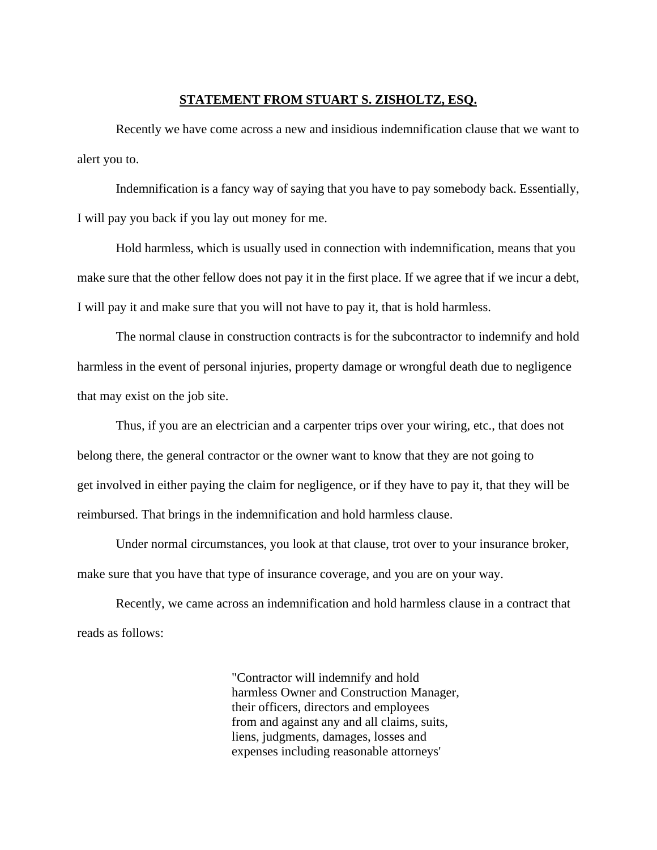## **STATEMENT FROM STUART S. ZISHOLTZ, ESQ.**

Recently we have come across a new and insidious indemnification clause that we want to alert you to.

Indemnification is a fancy way of saying that you have to pay somebody back. Essentially, I will pay you back if you lay out money for me.

Hold harmless, which is usually used in connection with indemnification, means that you make sure that the other fellow does not pay it in the first place. If we agree that if we incur a debt, I will pay it and make sure that you will not have to pay it, that is hold harmless.

The normal clause in construction contracts is for the subcontractor to indemnify and hold harmless in the event of personal injuries, property damage or wrongful death due to negligence that may exist on the job site.

Thus, if you are an electrician and a carpenter trips over your wiring, etc., that does not belong there, the general contractor or the owner want to know that they are not going to get involved in either paying the claim for negligence, or if they have to pay it, that they will be reimbursed. That brings in the indemnification and hold harmless clause.

Under normal circumstances, you look at that clause, trot over to your insurance broker, make sure that you have that type of insurance coverage, and you are on your way.

Recently, we came across an indemnification and hold harmless clause in a contract that reads as follows:

> "Contractor will indemnify and hold harmless Owner and Construction Manager, their officers, directors and employees from and against any and all claims, suits, liens, judgments, damages, losses and expenses including reasonable attorneys'